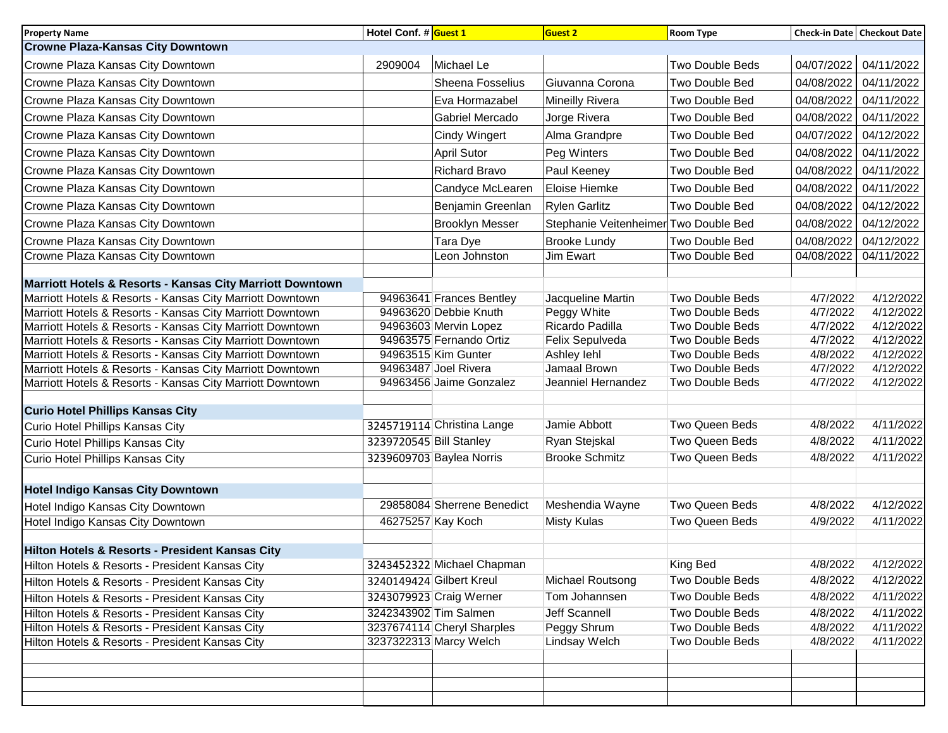| <b>Property Name</b>                                      | Hotel Conf. # Guest 1   |                            | <b>Guest 2</b>                        | <b>Room Type</b>       |            | Check-in Date Checkout Date |
|-----------------------------------------------------------|-------------------------|----------------------------|---------------------------------------|------------------------|------------|-----------------------------|
| <b>Crowne Plaza-Kansas City Downtown</b>                  |                         |                            |                                       |                        |            |                             |
| Crowne Plaza Kansas City Downtown                         | 2909004                 | Michael Le                 |                                       | <b>Two Double Beds</b> | 04/07/2022 | 04/11/2022                  |
| Crowne Plaza Kansas City Downtown                         |                         | Sheena Fosselius           | Giuvanna Corona                       | Two Double Bed         | 04/08/2022 | 04/11/2022                  |
| Crowne Plaza Kansas City Downtown                         |                         | Eva Hormazabel             | Mineilly Rivera                       | Two Double Bed         | 04/08/2022 | 04/11/2022                  |
| Crowne Plaza Kansas City Downtown                         |                         | Gabriel Mercado            | Jorge Rivera                          | Two Double Bed         | 04/08/2022 | 04/11/2022                  |
| Crowne Plaza Kansas City Downtown                         |                         | <b>Cindy Wingert</b>       | Alma Grandpre                         | Two Double Bed         | 04/07/2022 | 04/12/2022                  |
| Crowne Plaza Kansas City Downtown                         |                         | <b>April Sutor</b>         | Peg Winters                           | Two Double Bed         | 04/08/2022 | 04/11/2022                  |
| Crowne Plaza Kansas City Downtown                         |                         | <b>Richard Bravo</b>       | Paul Keeney                           | Two Double Bed         | 04/08/2022 | 04/11/2022                  |
| Crowne Plaza Kansas City Downtown                         |                         | Candyce McLearen           | Eloise Hiemke                         | Two Double Bed         | 04/08/2022 | 04/11/2022                  |
| Crowne Plaza Kansas City Downtown                         |                         | Benjamin Greenlan          | <b>Rylen Garlitz</b>                  | Two Double Bed         | 04/08/2022 | 04/12/2022                  |
| Crowne Plaza Kansas City Downtown                         |                         | <b>Brooklyn Messer</b>     | Stephanie Veitenheimer Two Double Bed |                        | 04/08/2022 | 04/12/2022                  |
| Crowne Plaza Kansas City Downtown                         |                         | Tara Dye                   | <b>Brooke Lundy</b>                   | Two Double Bed         | 04/08/2022 | 04/12/2022                  |
| Crowne Plaza Kansas City Downtown                         |                         | Leon Johnston              | Jim Ewart                             | Two Double Bed         | 04/08/2022 | 04/11/2022                  |
|                                                           |                         |                            |                                       |                        |            |                             |
| Marriott Hotels & Resorts - Kansas City Marriott Downtown |                         |                            |                                       |                        |            |                             |
| Marriott Hotels & Resorts - Kansas City Marriott Downtown |                         | 94963641 Frances Bentley   | Jacqueline Martin                     | <b>Two Double Beds</b> | 4/7/2022   | 4/12/2022                   |
| Marriott Hotels & Resorts - Kansas City Marriott Downtown |                         | 94963620 Debbie Knuth      | Peggy White                           | Two Double Beds        | 4/7/2022   | 4/12/2022                   |
| Marriott Hotels & Resorts - Kansas City Marriott Downtown |                         | 94963603 Mervin Lopez      | Ricardo Padilla                       | Two Double Beds        | 4/7/2022   | 4/12/2022                   |
| Marriott Hotels & Resorts - Kansas City Marriott Downtown |                         | 94963575 Fernando Ortiz    | Felix Sepulveda                       | Two Double Beds        | 4/7/2022   | 4/12/2022                   |
| Marriott Hotels & Resorts - Kansas City Marriott Downtown |                         | 94963515 Kim Gunter        | Ashley lehl                           | Two Double Beds        | 4/8/2022   | 4/12/2022                   |
| Marriott Hotels & Resorts - Kansas City Marriott Downtown |                         | 94963487 Joel Rivera       | Jamaal Brown                          | Two Double Beds        | 4/7/2022   | 4/12/2022                   |
| Marriott Hotels & Resorts - Kansas City Marriott Downtown |                         | 94963456 Jaime Gonzalez    | Jeanniel Hernandez                    | Two Double Beds        | 4/7/2022   | 4/12/2022                   |
| <b>Curio Hotel Phillips Kansas City</b>                   |                         |                            |                                       |                        |            |                             |
| Curio Hotel Phillips Kansas City                          |                         | 3245719114 Christina Lange | Jamie Abbott                          | Two Queen Beds         | 4/8/2022   | 4/11/2022                   |
| Curio Hotel Phillips Kansas City                          | 3239720545 Bill Stanley |                            | Ryan Stejskal                         | Two Queen Beds         | 4/8/2022   | 4/11/2022                   |
| Curio Hotel Phillips Kansas City                          |                         | 3239609703 Baylea Norris   | <b>Brooke Schmitz</b>                 | Two Queen Beds         | 4/8/2022   | 4/11/2022                   |
|                                                           |                         |                            |                                       |                        |            |                             |
| <b>Hotel Indigo Kansas City Downtown</b>                  |                         |                            |                                       |                        |            |                             |
| Hotel Indigo Kansas City Downtown                         |                         | 29858084 Sherrene Benedict | Meshendia Wayne                       | Two Queen Beds         | 4/8/2022   | 4/12/2022                   |
| Hotel Indigo Kansas City Downtown                         |                         | 46275257 Kay Koch          | <b>Misty Kulas</b>                    | Two Queen Beds         | 4/9/2022   | 4/11/2022                   |
| Hilton Hotels & Resorts - President Kansas City           |                         |                            |                                       |                        |            |                             |
| Hilton Hotels & Resorts - President Kansas City           |                         | 3243452322 Michael Chapman |                                       | King Bed               | 4/8/2022   | 4/12/2022                   |
| Hilton Hotels & Resorts - President Kansas City           |                         | 3240149424 Gilbert Kreul   | Michael Routsong                      | Two Double Beds        | 4/8/2022   | 4/12/2022                   |
| Hilton Hotels & Resorts - President Kansas City           |                         | 3243079923 Craig Werner    | Tom Johannsen                         | Two Double Beds        | 4/8/2022   | 4/11/2022                   |
|                                                           |                         |                            |                                       |                        |            |                             |
| Hilton Hotels & Resorts - President Kansas City           |                         | 3242343902 Tim Salmen      | <b>Jeff Scannell</b>                  | Two Double Beds        | 4/8/2022   | 4/11/2022                   |
| Hilton Hotels & Resorts - President Kansas City           |                         | 3237674114 Cheryl Sharples | Peggy Shrum                           | Two Double Beds        | 4/8/2022   | 4/11/2022                   |
| Hilton Hotels & Resorts - President Kansas City           |                         | 3237322313 Marcy Welch     | Lindsay Welch                         | Two Double Beds        | 4/8/2022   | 4/11/2022                   |
|                                                           |                         |                            |                                       |                        |            |                             |
|                                                           |                         |                            |                                       |                        |            |                             |
|                                                           |                         |                            |                                       |                        |            |                             |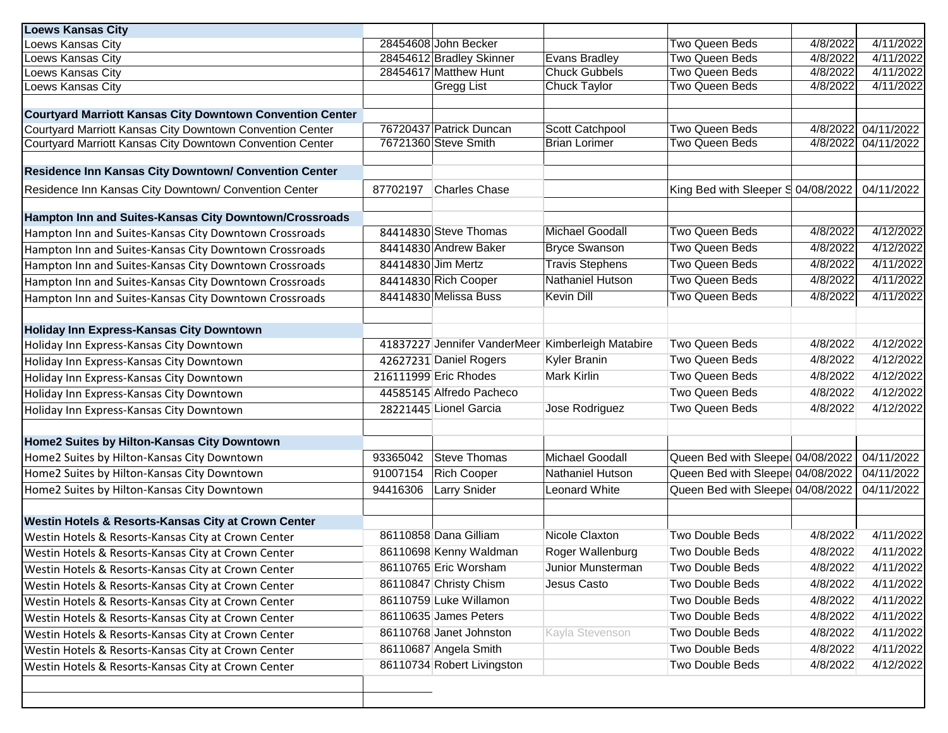| <b>Loews Kansas City</b>                                                                                                      |          |                            |                                                   |                                    |          |            |
|-------------------------------------------------------------------------------------------------------------------------------|----------|----------------------------|---------------------------------------------------|------------------------------------|----------|------------|
| Loews Kansas City                                                                                                             |          | 28454608 John Becker       |                                                   | Two Queen Beds                     | 4/8/2022 | 4/11/2022  |
| Loews Kansas City                                                                                                             |          | 28454612 Bradley Skinner   | <b>Evans Bradley</b>                              | Two Queen Beds                     | 4/8/2022 | 4/11/2022  |
| Loews Kansas City                                                                                                             |          | 28454617 Matthew Hunt      | <b>Chuck Gubbels</b>                              | Two Queen Beds                     | 4/8/2022 | 4/11/2022  |
| Loews Kansas City                                                                                                             |          | Gregg List                 | Chuck Taylor                                      | <b>Two Queen Beds</b>              | 4/8/2022 | 4/11/2022  |
|                                                                                                                               |          |                            |                                                   |                                    |          |            |
| <b>Courtyard Marriott Kansas City Downtown Convention Center</b><br>Courtyard Marriott Kansas City Downtown Convention Center |          | 76720437 Patrick Duncan    | Scott Catchpool                                   | <b>Two Queen Beds</b>              | 4/8/2022 | 04/11/2022 |
| Courtyard Marriott Kansas City Downtown Convention Center                                                                     |          | 76721360 Steve Smith       | <b>Brian Lorimer</b>                              | Two Queen Beds                     | 4/8/2022 | 04/11/2022 |
|                                                                                                                               |          |                            |                                                   |                                    |          |            |
| Residence Inn Kansas City Downtown/ Convention Center                                                                         |          |                            |                                                   |                                    |          |            |
| Residence Inn Kansas City Downtown/ Convention Center                                                                         | 87702197 | <b>Charles Chase</b>       |                                                   | King Bed with Sleeper S 04/08/2022 |          | 04/11/2022 |
| Hampton Inn and Suites-Kansas City Downtown/Crossroads                                                                        |          |                            |                                                   |                                    |          |            |
| Hampton Inn and Suites-Kansas City Downtown Crossroads                                                                        |          | 84414830 Steve Thomas      | <b>Michael Goodall</b>                            | <b>Two Queen Beds</b>              | 4/8/2022 | 4/12/2022  |
| Hampton Inn and Suites-Kansas City Downtown Crossroads                                                                        |          | 84414830 Andrew Baker      | <b>Bryce Swanson</b>                              | <b>Two Queen Beds</b>              | 4/8/2022 | 4/12/2022  |
| Hampton Inn and Suites-Kansas City Downtown Crossroads                                                                        |          | 84414830 Jim Mertz         | <b>Travis Stephens</b>                            | <b>Two Queen Beds</b>              | 4/8/2022 | 4/11/2022  |
| Hampton Inn and Suites-Kansas City Downtown Crossroads                                                                        |          | 84414830 Rich Cooper       | <b>Nathaniel Hutson</b>                           | <b>Two Queen Beds</b>              | 4/8/2022 | 4/11/2022  |
| Hampton Inn and Suites-Kansas City Downtown Crossroads                                                                        |          | 84414830 Melissa Buss      | <b>Kevin Dill</b>                                 | <b>Two Queen Beds</b>              | 4/8/2022 | 4/11/2022  |
|                                                                                                                               |          |                            |                                                   |                                    |          |            |
| Holiday Inn Express-Kansas City Downtown                                                                                      |          |                            |                                                   |                                    |          |            |
| Holiday Inn Express-Kansas City Downtown                                                                                      |          |                            | 41837227 Jennifer VanderMeer Kimberleigh Matabire | Two Queen Beds                     | 4/8/2022 | 4/12/2022  |
| Holiday Inn Express-Kansas City Downtown                                                                                      |          | 42627231 Daniel Rogers     | Kyler Branin                                      | Two Queen Beds                     | 4/8/2022 | 4/12/2022  |
| Holiday Inn Express-Kansas City Downtown                                                                                      |          | 216111999 Eric Rhodes      | <b>Mark Kirlin</b>                                | Two Queen Beds                     | 4/8/2022 | 4/12/2022  |
| Holiday Inn Express-Kansas City Downtown                                                                                      |          | 44585145 Alfredo Pacheco   |                                                   | Two Queen Beds                     | 4/8/2022 | 4/12/2022  |
| Holiday Inn Express-Kansas City Downtown                                                                                      |          | 28221445 Lionel Garcia     | Jose Rodriguez                                    | Two Queen Beds                     | 4/8/2022 | 4/12/2022  |
|                                                                                                                               |          |                            |                                                   |                                    |          |            |
| Home2 Suites by Hilton-Kansas City Downtown                                                                                   |          |                            |                                                   |                                    |          |            |
| Home2 Suites by Hilton-Kansas City Downtown                                                                                   | 93365042 | Steve Thomas               | Michael Goodall                                   | Queen Bed with Sleepe 04/08/2022   |          | 04/11/2022 |
| Home2 Suites by Hilton-Kansas City Downtown                                                                                   | 91007154 | <b>Rich Cooper</b>         | Nathaniel Hutson                                  | Queen Bed with Sleepe 04/08/2022   |          | 04/11/2022 |
| Home2 Suites by Hilton-Kansas City Downtown                                                                                   | 94416306 | Larry Snider               | Leonard White                                     | Queen Bed with Sleepe 04/08/2022   |          | 04/11/2022 |
|                                                                                                                               |          |                            |                                                   |                                    |          |            |
| <b>Westin Hotels &amp; Resorts-Kansas City at Crown Center</b>                                                                |          |                            |                                                   |                                    |          |            |
| Westin Hotels & Resorts-Kansas City at Crown Center                                                                           |          | 86110858 Dana Gilliam      | Nicole Claxton                                    | Two Double Beds                    | 4/8/2022 | 4/11/2022  |
| Westin Hotels & Resorts-Kansas City at Crown Center                                                                           |          | 86110698 Kenny Waldman     | Roger Wallenburg                                  | Two Double Beds                    | 4/8/2022 | 4/11/2022  |
| Westin Hotels & Resorts-Kansas City at Crown Center                                                                           |          | 86110765 Eric Worsham      | Junior Munsterman                                 | Two Double Beds                    | 4/8/2022 | 4/11/2022  |
| Westin Hotels & Resorts-Kansas City at Crown Center                                                                           |          | 86110847 Christy Chism     | Jesus Casto                                       | Two Double Beds                    | 4/8/2022 | 4/11/2022  |
| Westin Hotels & Resorts-Kansas City at Crown Center                                                                           |          | 86110759 Luke Willamon     |                                                   | Two Double Beds                    | 4/8/2022 | 4/11/2022  |
| Westin Hotels & Resorts-Kansas City at Crown Center                                                                           |          | 86110635 James Peters      |                                                   | Two Double Beds                    | 4/8/2022 | 4/11/2022  |
| Westin Hotels & Resorts-Kansas City at Crown Center                                                                           |          | 86110768 Janet Johnston    | Kayla Stevenson                                   | Two Double Beds                    | 4/8/2022 | 4/11/2022  |
| Westin Hotels & Resorts-Kansas City at Crown Center                                                                           |          | 86110687 Angela Smith      |                                                   | Two Double Beds                    | 4/8/2022 | 4/11/2022  |
| Westin Hotels & Resorts-Kansas City at Crown Center                                                                           |          | 86110734 Robert Livingston |                                                   | Two Double Beds                    | 4/8/2022 | 4/12/2022  |
|                                                                                                                               |          |                            |                                                   |                                    |          |            |
|                                                                                                                               |          |                            |                                                   |                                    |          |            |